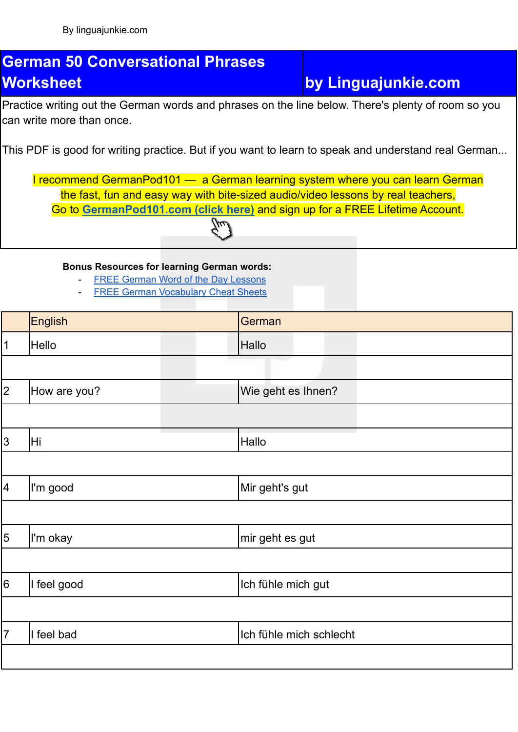## **German 50 Conversational Phrases Worksheet by Linguajunkie.com**

Practice writing out the German words and phrases on the line below. There's plenty of room so you can write more than once.

This PDF is good for writing practice. But if you want to learn to speak and understand real German...

I recommend GermanPod101 — a German learning system where you can learn German the fast, fun and easy way with bite-sized audio/video lessons by real teachers, Go to **[GermanPod101.com](https://www.germanpod101.com/member/go.php?r=270096&l=uggcf%3A%2F%2Fjjj.treznacbq101.pbz%2F%3Ffep%3Dyvathnwhaxvr-trezna-jbexobbxyvax) (click here)** and sign up for a FREE Lifetime Account.

**Bonus Resources for learning German words:**

- FREE German Word of the Day [Lessons](https://www.germanpod101.com/member/go.php?r=270096&l=uggcf%3A%2F%2Fjjj.treznacbq101.pbz%2Ftrezna-cuenfrf%3Ffep%3Dyvathnwhaxvr-trezna-jbexobbxyvaxJBGQ)
- **FREE German [Vocabulary](https://www.germanpod101.com/member/go.php?r=270096&l=uggcf%3A%2F%2Fjjj.treznacbq101.pbz%2Fyrnea-jvgu-cqs%3Ffep%3Dyvathnwhaxvr-trezna-jbexobbxyvaxCQS) Cheat Sheets**

|                 | <b>English</b> | German                  |
|-----------------|----------------|-------------------------|
| $\mathbf 1$     | <b>Hello</b>   | Hallo                   |
|                 |                |                         |
| 2               | How are you?   | Wie geht es Ihnen?      |
|                 |                |                         |
| $ 3\rangle$     | Hi             | Hallo                   |
|                 |                |                         |
| $\vert 4 \vert$ | I'm good       | Mir geht's gut          |
|                 |                |                         |
| $\overline{5}$  | I'm okay       | mir geht es gut         |
|                 |                |                         |
| $6\overline{6}$ | I feel good    | Ich fühle mich gut      |
|                 |                |                         |
| $\overline{7}$  | I feel bad     | Ich fühle mich schlecht |
|                 |                |                         |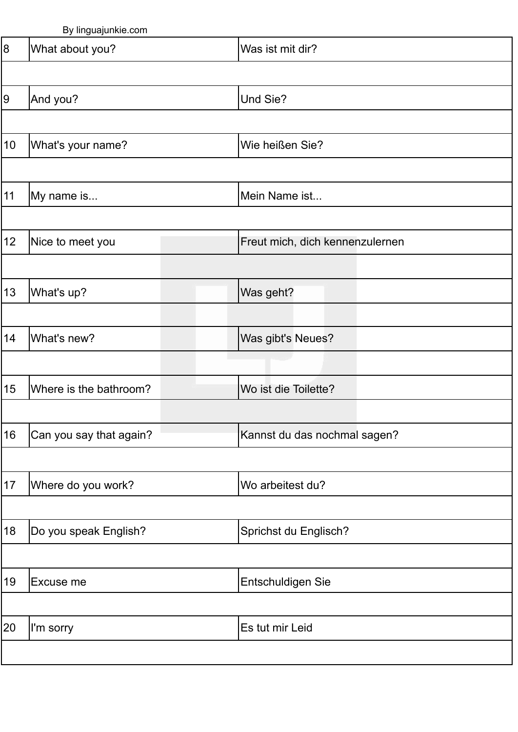|                 | Dy illiyuajulini <del>c</del> .com |                                 |
|-----------------|------------------------------------|---------------------------------|
| 8               | What about you?                    | Was ist mit dir?                |
|                 |                                    |                                 |
| $ 9\rangle$     | And you?                           | Und Sie?                        |
|                 |                                    |                                 |
| 10 <sup>°</sup> | What's your name?                  | Wie heißen Sie?                 |
|                 |                                    |                                 |
| 11              | My name is                         | Mein Name ist                   |
|                 |                                    |                                 |
| 12 <sub>2</sub> | Nice to meet you                   | Freut mich, dich kennenzulernen |
|                 |                                    |                                 |
| 13              | What's up?                         | Was geht?                       |
|                 |                                    |                                 |
| 14              | What's new?                        | Was gibt's Neues?               |
|                 |                                    |                                 |
| 15              | Where is the bathroom?             | Wo ist die Toilette?            |
|                 |                                    |                                 |
| 16              | Can you say that again?            | Kannst du das nochmal sagen?    |
|                 |                                    |                                 |
| 17              | Where do you work?                 | Wo arbeitest du?                |
|                 |                                    |                                 |
| 18              | Do you speak English?              | Sprichst du Englisch?           |
|                 |                                    |                                 |
| 19              | Excuse me                          | Entschuldigen Sie               |
|                 |                                    |                                 |
| 20              | I'm sorry                          | Es tut mir Leid                 |
|                 |                                    |                                 |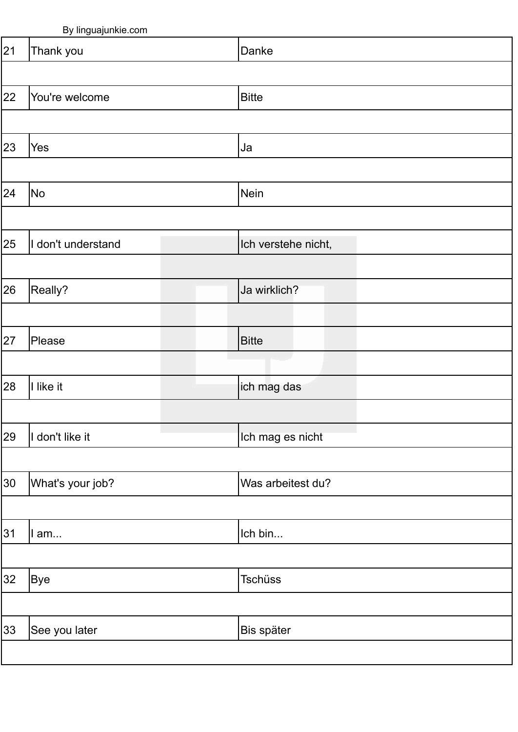|    | $\overline{\phantom{a}}$<br><u>بر ب</u> |                     |
|----|-----------------------------------------|---------------------|
| 21 | Thank you                               | Danke               |
|    |                                         |                     |
| 22 | You're welcome                          | <b>Bitte</b>        |
|    |                                         |                     |
| 23 | Yes                                     | Ja                  |
|    |                                         |                     |
| 24 | No                                      | Nein                |
|    |                                         |                     |
| 25 | I don't understand                      | Ich verstehe nicht, |
|    |                                         |                     |
| 26 | Really?                                 | Ja wirklich?        |
|    |                                         |                     |
| 27 | Please                                  | <b>Bitte</b>        |
|    |                                         |                     |
| 28 | I like it                               | ich mag das         |
|    |                                         |                     |
| 29 | I don't like it                         | Ich mag es nicht    |
|    |                                         |                     |
| 30 | What's your job?                        | Was arbeitest du?   |
|    |                                         |                     |
| 31 | I am                                    | Ich bin             |
| 32 | <b>Bye</b>                              | <b>Tschüss</b>      |
|    |                                         |                     |
| 33 | See you later                           | Bis später          |
|    |                                         |                     |
|    |                                         |                     |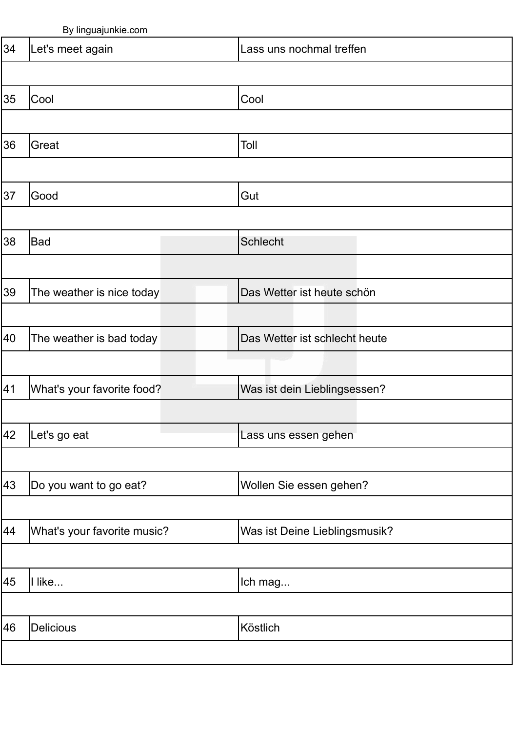|    | by miguajarmo.com           |                               |
|----|-----------------------------|-------------------------------|
| 34 | Let's meet again            | Lass uns nochmal treffen      |
|    |                             |                               |
| 35 | Cool                        | Cool                          |
|    |                             |                               |
| 36 | Great                       | Toll                          |
|    |                             |                               |
| 37 | Good                        | Gut                           |
|    |                             |                               |
| 38 | Bad                         | <b>Schlecht</b>               |
|    |                             |                               |
| 39 | The weather is nice today   | Das Wetter ist heute schön    |
|    |                             |                               |
| 40 | The weather is bad today    | Das Wetter ist schlecht heute |
|    |                             |                               |
| 41 | What's your favorite food?  | Was ist dein Lieblingsessen?  |
|    |                             |                               |
| 42 | Let's go eat                | Lass uns essen gehen          |
|    |                             |                               |
| 43 | Do you want to go eat?      | Wollen Sie essen gehen?       |
|    |                             |                               |
| 44 | What's your favorite music? | Was ist Deine Lieblingsmusik? |
|    |                             |                               |
| 45 | Il like                     | Ich mag                       |
|    |                             |                               |
| 46 | <b>Delicious</b>            | Köstlich                      |
|    |                             |                               |